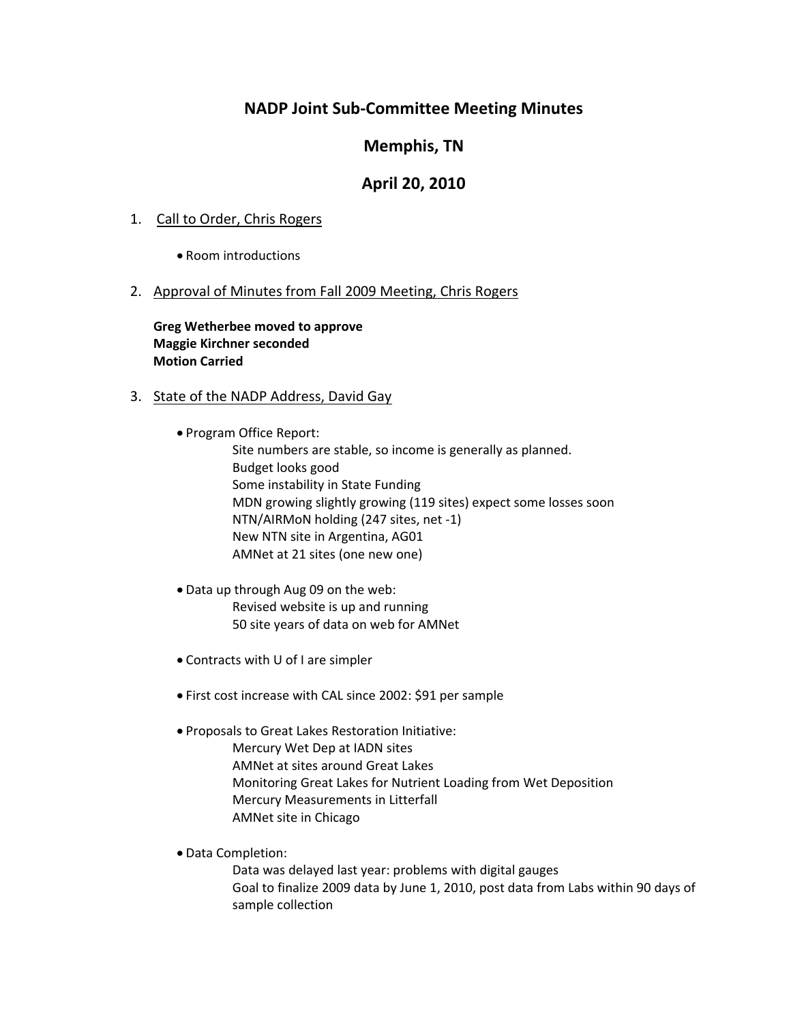# **NADP Joint Sub‐Committee Meeting Minutes**

# **Memphis, TN**

# **April 20, 2010**

## 1. Call to Order, Chris Rogers

Room introductions

## 2. Approval of Minutes from Fall 2009 Meeting, Chris Rogers

**Greg Wetherbee moved to approve Maggie Kirchner seconded Motion Carried**

## 3. State of the NADP Address, David Gay

Program Office Report:

Site numbers are stable, so income is generally as planned. Budget looks good Some instability in State Funding MDN growing slightly growing (119 sites) expect some losses soon NTN/AIRMoN holding (247 sites, net ‐1) New NTN site in Argentina, AG01 AMNet at 21 sites (one new one)

- Data up through Aug 09 on the web: Revised website is up and running 50 site years of data on web for AMNet
- Contracts with U of I are simpler
- First cost increase with CAL since 2002: \$91 per sample

Proposals to Great Lakes Restoration Initiative:

Mercury Wet Dep at IADN sites

AMNet at sites around Great Lakes

Monitoring Great Lakes for Nutrient Loading from Wet Deposition

Mercury Measurements in Litterfall

AMNet site in Chicago

Data Completion:

Data was delayed last year: problems with digital gauges Goal to finalize 2009 data by June 1, 2010, post data from Labs within 90 days of sample collection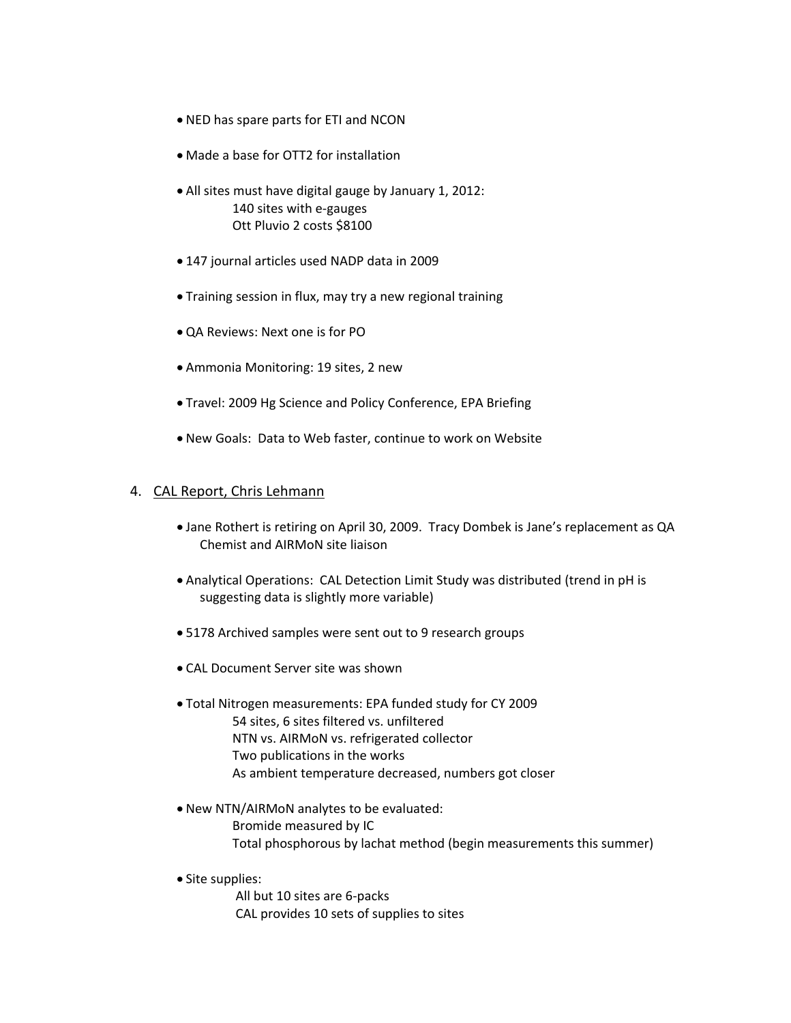- NED has spare parts for ETI and NCON
- Made a base for OTT2 for installation
- All sites must have digital gauge by January 1, 2012: 140 sites with e‐gauges Ott Pluvio 2 costs \$8100
- 147 journal articles used NADP data in 2009
- Training session in flux, may try a new regional training
- QA Reviews: Next one is for PO
- Ammonia Monitoring: 19 sites, 2 new
- Travel: 2009 Hg Science and Policy Conference, EPA Briefing
- New Goals: Data to Web faster, continue to work on Website

#### 4. CAL Report, Chris Lehmann

- Jane Rothert is retiring on April 30, 2009. Tracy Dombek is Jane's replacement as QA Chemist and AIRMoN site liaison
- Analytical Operations: CAL Detection Limit Study was distributed (trend in pH is suggesting data is slightly more variable)
- 5178 Archived samples were sent out to 9 research groups
- CAL Document Server site was shown
- Total Nitrogen measurements: EPA funded study for CY 2009 54 sites, 6 sites filtered vs. unfiltered NTN vs. AIRMoN vs. refrigerated collector Two publications in the works As ambient temperature decreased, numbers got closer
- New NTN/AIRMoN analytes to be evaluated: Bromide measured by IC Total phosphorous by lachat method (begin measurements this summer)
- Site supplies:

All but 10 sites are 6‐packs CAL provides 10 sets of supplies to sites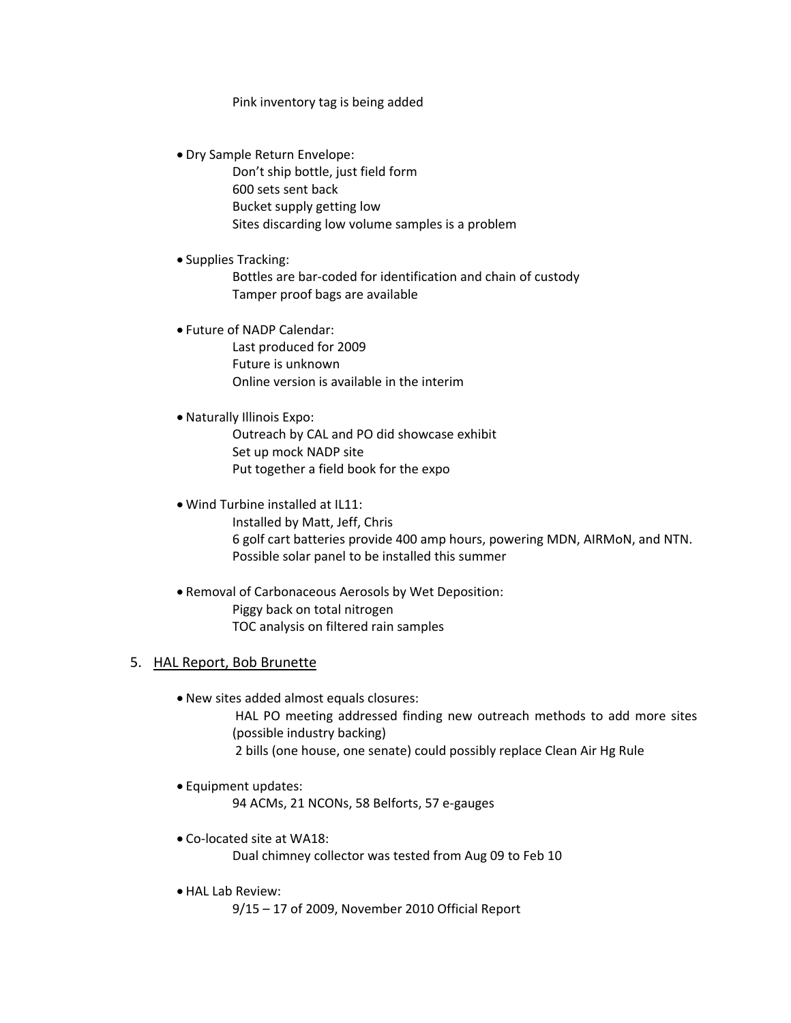#### Pink inventory tag is being added

Dry Sample Return Envelope:

Don't ship bottle, just field form 600 sets sent back Bucket supply getting low Sites discarding low volume samples is a problem

Supplies Tracking:

 Bottles are bar‐coded for identification and chain of custody Tamper proof bags are available

Future of NADP Calendar:

Last produced for 2009 Future is unknown Online version is available in the interim

#### Naturally Illinois Expo:

Outreach by CAL and PO did showcase exhibit Set up mock NADP site Put together a field book for the expo

#### Wind Turbine installed at IL11:

Installed by Matt, Jeff, Chris 6 golf cart batteries provide 400 amp hours, powering MDN, AIRMoN, and NTN. Possible solar panel to be installed this summer

 Removal of Carbonaceous Aerosols by Wet Deposition: Piggy back on total nitrogen TOC analysis on filtered rain samples

## 5. HAL Report, Bob Brunette

New sites added almost equals closures:

HAL PO meeting addressed finding new outreach methods to add more sites (possible industry backing) 2 bills (one house, one senate) could possibly replace Clean Air Hg Rule

Equipment updates:

94 ACMs, 21 NCONs, 58 Belforts, 57 e‐gauges

- Co‐located site at WA18: Dual chimney collector was tested from Aug 09 to Feb 10
- HAL Lab Review:

9/15 – 17 of 2009, November 2010 Official Report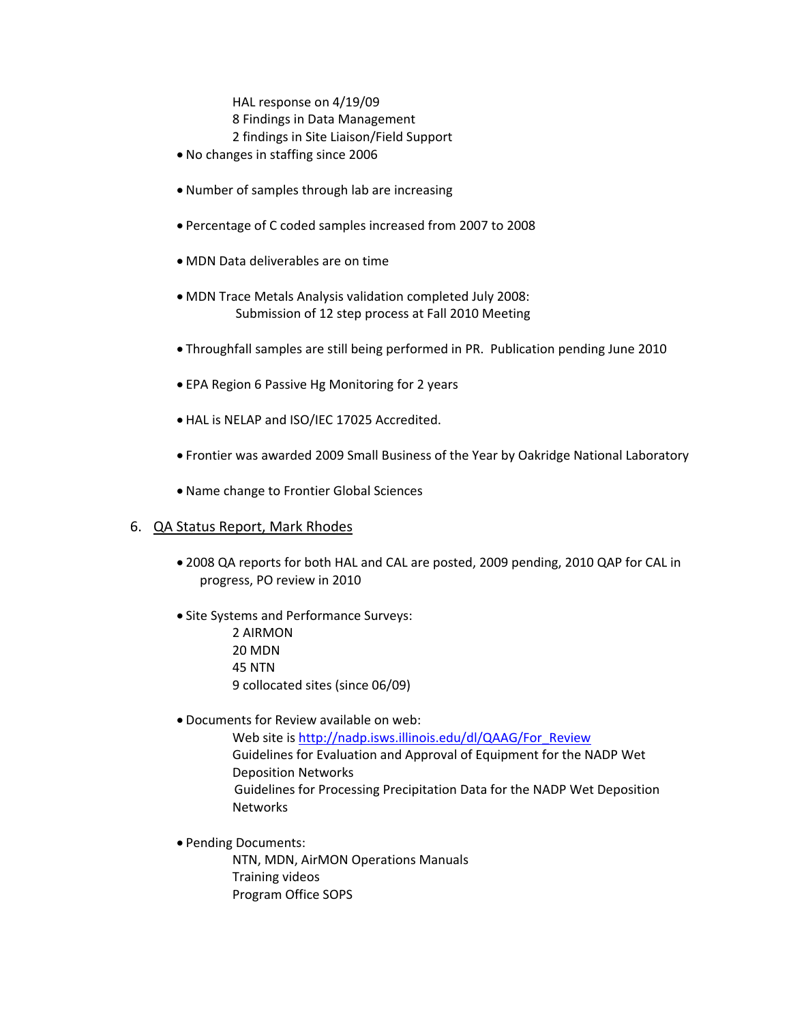HAL response on 4/19/09 8 Findings in Data Management 2 findings in Site Liaison/Field Support

- No changes in staffing since 2006
- Number of samples through lab are increasing
- Percentage of C coded samples increased from 2007 to 2008
- MDN Data deliverables are on time
- MDN Trace Metals Analysis validation completed July 2008: Submission of 12 step process at Fall 2010 Meeting
- Throughfall samples are still being performed in PR. Publication pending June 2010
- EPA Region 6 Passive Hg Monitoring for 2 years
- HAL is NELAP and ISO/IEC 17025 Accredited.
- Frontier was awarded 2009 Small Business of the Year by Oakridge National Laboratory
- Name change to Frontier Global Sciences

### 6. QA Status Report, Mark Rhodes

- 2008 QA reports for both HAL and CAL are posted, 2009 pending, 2010 QAP for CAL in progress, PO review in 2010
- Site Systems and Performance Surveys: 2 AIRMON 20 MDN 45 NTN 9 collocated sites (since 06/09)
- Documents for Review available on web:

Web site is http://nadp.isws.illinois.edu/dl/QAAG/For\_Review Guidelines for Evaluation and Approval of Equipment for the NADP Wet Deposition Networks Guidelines for Processing Precipitation Data for the NADP Wet Deposition Networks

Pending Documents:

NTN, MDN, AirMON Operations Manuals Training videos Program Office SOPS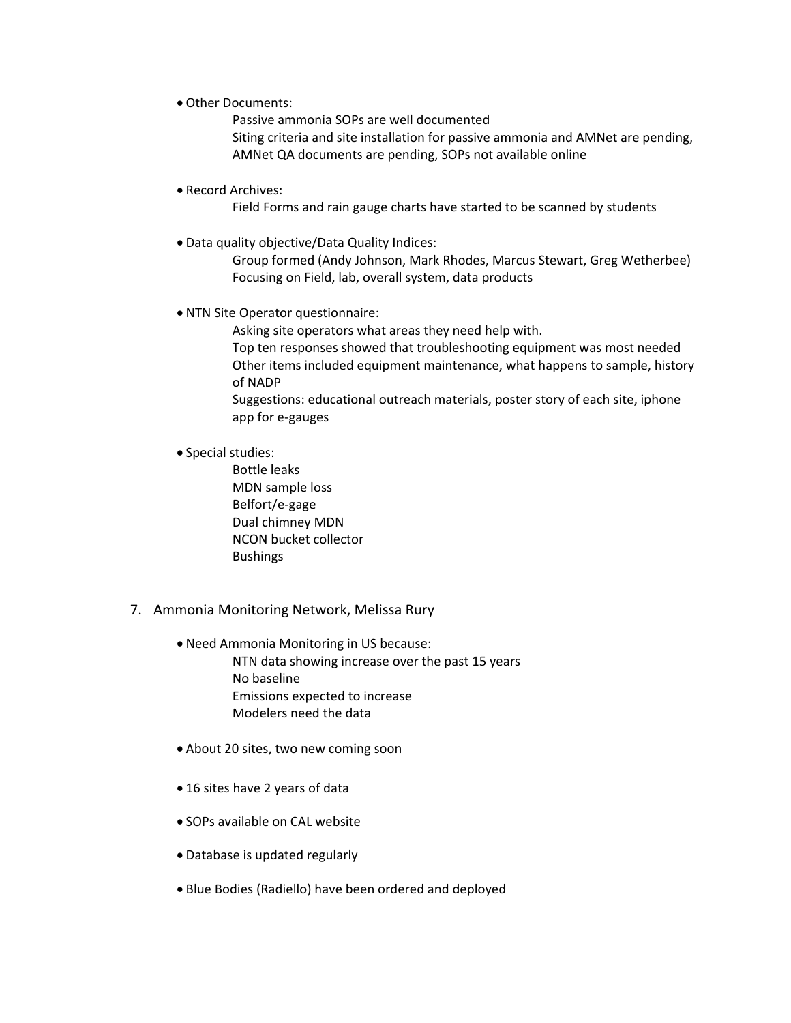Other Documents:

Passive ammonia SOPs are well documented Siting criteria and site installation for passive ammonia and AMNet are pending, AMNet QA documents are pending, SOPs not available online

Record Archives:

Field Forms and rain gauge charts have started to be scanned by students

Data quality objective/Data Quality Indices:

Group formed (Andy Johnson, Mark Rhodes, Marcus Stewart, Greg Wetherbee) Focusing on Field, lab, overall system, data products

NTN Site Operator questionnaire:

Asking site operators what areas they need help with.

Top ten responses showed that troubleshooting equipment was most needed Other items included equipment maintenance, what happens to sample, history of NADP

Suggestions: educational outreach materials, poster story of each site, iphone app for e‐gauges

Special studies:

Bottle leaks MDN sample loss Belfort/e‐gage Dual chimney MDN NCON bucket collector **Bushings** 

#### 7. Ammonia Monitoring Network, Melissa Rury

- Need Ammonia Monitoring in US because: NTN data showing increase over the past 15 years No baseline Emissions expected to increase Modelers need the data
- About 20 sites, two new coming soon
- 16 sites have 2 years of data
- SOPs available on CAL website
- Database is updated regularly
- Blue Bodies (Radiello) have been ordered and deployed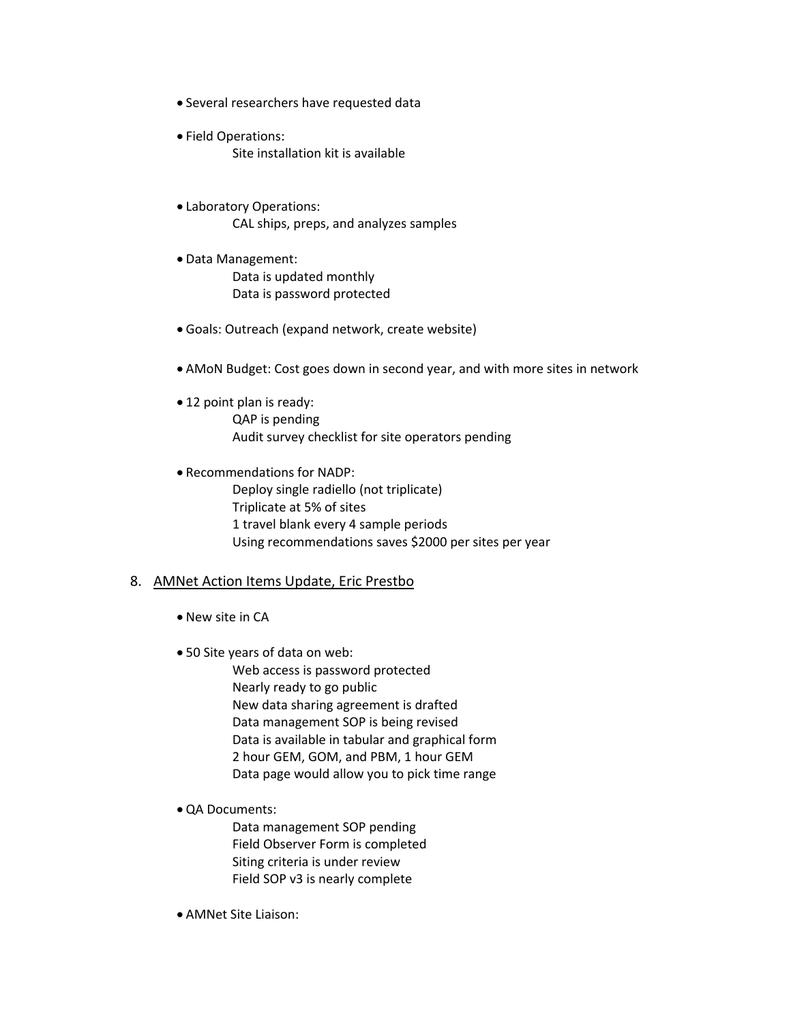- Several researchers have requested data
- Field Operations: Site installation kit is available
- Laboratory Operations: CAL ships, preps, and analyzes samples
- Data Management: Data is updated monthly Data is password protected
- Goals: Outreach (expand network, create website)
- AMoN Budget: Cost goes down in second year, and with more sites in network
- 12 point plan is ready: QAP is pending Audit survey checklist for site operators pending
- Recommendations for NADP: Deploy single radiello (not triplicate) Triplicate at 5% of sites 1 travel blank every 4 sample periods Using recommendations saves \$2000 per sites per year

#### 8. AMNet Action Items Update, Eric Prestbo

- New site in CA
- 50 Site years of data on web:

Web access is password protected Nearly ready to go public New data sharing agreement is drafted Data management SOP is being revised Data is available in tabular and graphical form 2 hour GEM, GOM, and PBM, 1 hour GEM Data page would allow you to pick time range

QA Documents:

Data management SOP pending Field Observer Form is completed Siting criteria is under review Field SOP v3 is nearly complete

AMNet Site Liaison: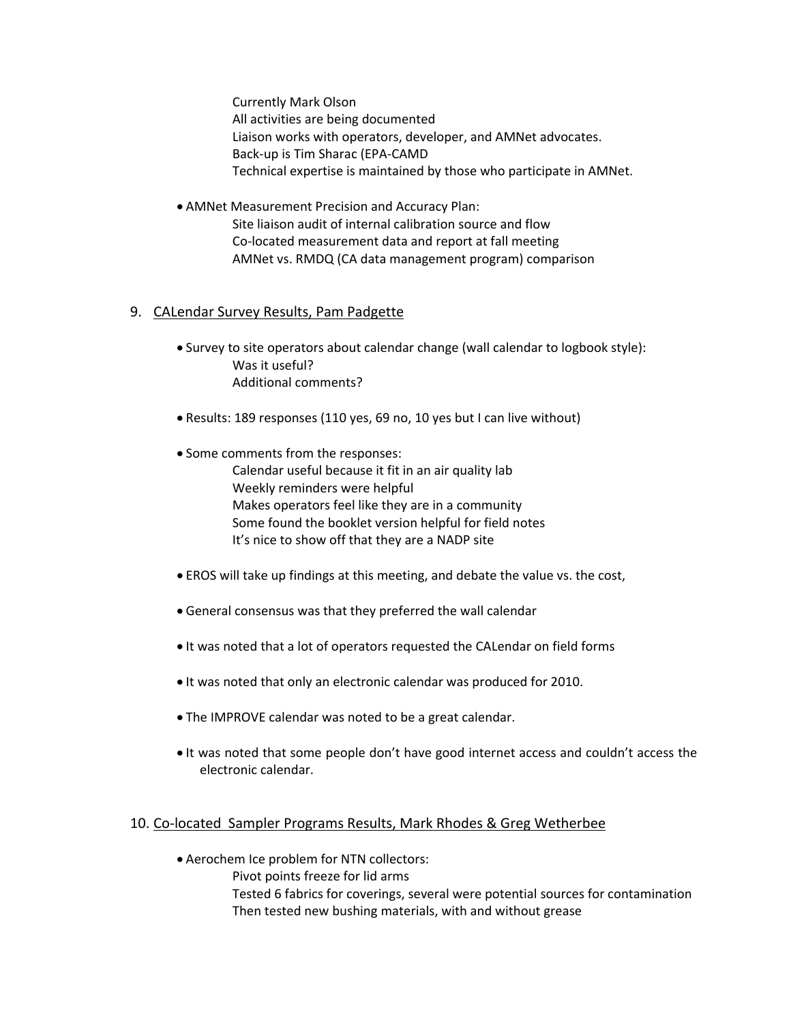Currently Mark Olson All activities are being documented Liaison works with operators, developer, and AMNet advocates. Back‐up is Tim Sharac (EPA‐CAMD Technical expertise is maintained by those who participate in AMNet.

 AMNet Measurement Precision and Accuracy Plan: Site liaison audit of internal calibration source and flow Co‐located measurement data and report at fall meeting AMNet vs. RMDQ (CA data management program) comparison

## 9. CALendar Survey Results, Pam Padgette

- Survey to site operators about calendar change (wall calendar to logbook style): Was it useful? Additional comments?
- Results: 189 responses (110 yes, 69 no, 10 yes but I can live without)
- Some comments from the responses:

Calendar useful because it fit in an air quality lab Weekly reminders were helpful Makes operators feel like they are in a community Some found the booklet version helpful for field notes It's nice to show off that they are a NADP site

- EROS will take up findings at this meeting, and debate the value vs. the cost,
- General consensus was that they preferred the wall calendar
- It was noted that a lot of operators requested the CALendar on field forms
- It was noted that only an electronic calendar was produced for 2010.
- The IMPROVE calendar was noted to be a great calendar.
- It was noted that some people don't have good internet access and couldn't access the electronic calendar.

### 10. Co-located Sampler Programs Results, Mark Rhodes & Greg Wetherbee

- Aerochem Ice problem for NTN collectors:
	- Pivot points freeze for lid arms
		- Tested 6 fabrics for coverings, several were potential sources for contamination Then tested new bushing materials, with and without grease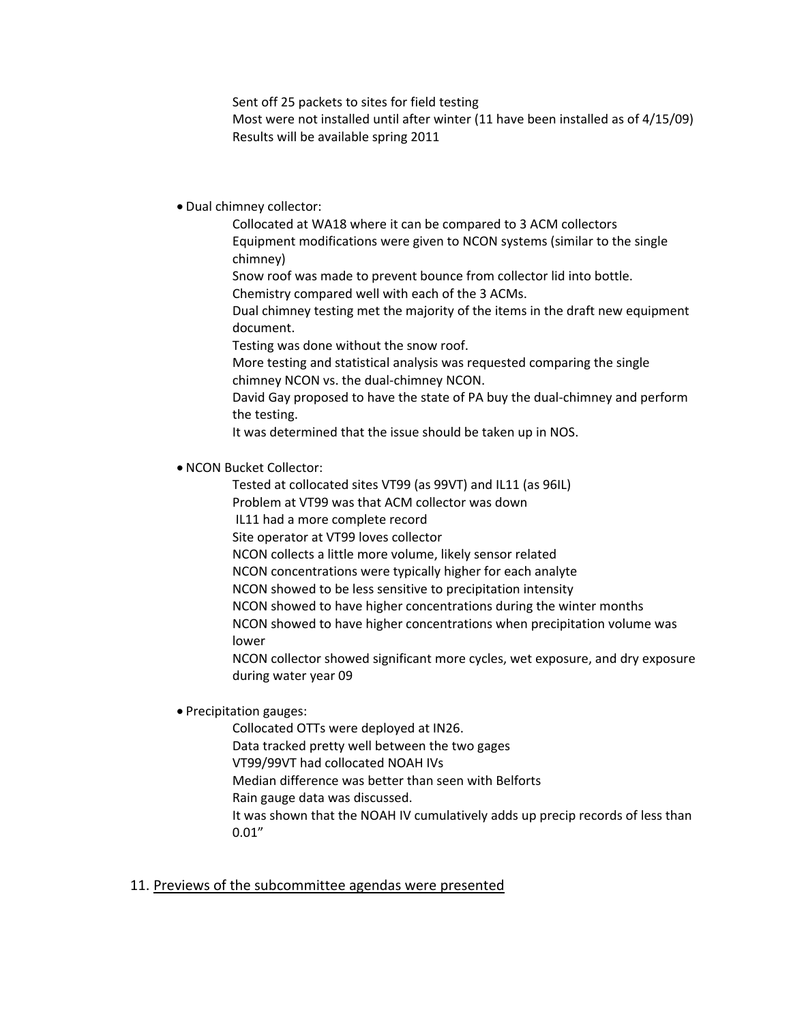Sent off 25 packets to sites for field testing

Most were not installed until after winter (11 have been installed as of 4/15/09) Results will be available spring 2011

## Dual chimney collector:

Collocated at WA18 where it can be compared to 3 ACM collectors Equipment modifications were given to NCON systems (similar to the single chimney)

Snow roof was made to prevent bounce from collector lid into bottle.

Chemistry compared well with each of the 3 ACMs.

Dual chimney testing met the majority of the items in the draft new equipment document.

Testing was done without the snow roof.

More testing and statistical analysis was requested comparing the single chimney NCON vs. the dual‐chimney NCON.

David Gay proposed to have the state of PA buy the dual‐chimney and perform the testing.

It was determined that the issue should be taken up in NOS.

## NCON Bucket Collector:

Tested at collocated sites VT99 (as 99VT) and IL11 (as 96IL)

Problem at VT99 was that ACM collector was down

IL11 had a more complete record

Site operator at VT99 loves collector

NCON collects a little more volume, likely sensor related

NCON concentrations were typically higher for each analyte

NCON showed to be less sensitive to precipitation intensity

NCON showed to have higher concentrations during the winter months

NCON showed to have higher concentrations when precipitation volume was lower

NCON collector showed significant more cycles, wet exposure, and dry exposure during water year 09

• Precipitation gauges:

Collocated OTTs were deployed at IN26.

Data tracked pretty well between the two gages

VT99/99VT had collocated NOAH IVs

Median difference was better than seen with Belforts

Rain gauge data was discussed.

It was shown that the NOAH IV cumulatively adds up precip records of less than 0.01"

## 11. Previews of the subcommittee agendas were presented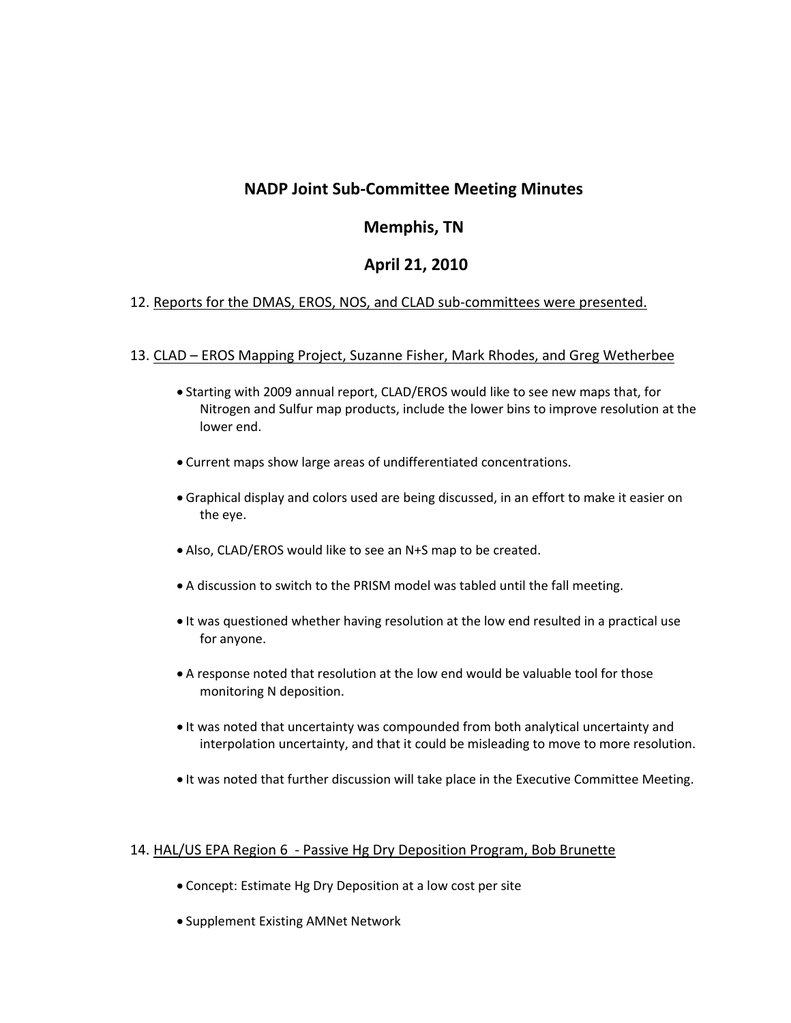# **NADP Joint Sub‐Committee Meeting Minutes**

# **Memphis, TN**

# **April 21, 2010**

# 12. Reports for the DMAS, EROS, NOS, and CLAD sub-committees were presented.

## 13. CLAD – EROS Mapping Project, Suzanne Fisher, Mark Rhodes, and Greg Wetherbee

- Starting with 2009 annual report, CLAD/EROS would like to see new maps that, for Nitrogen and Sulfur map products, include the lower bins to improve resolution at the lower end.
- Current maps show large areas of undifferentiated concentrations.
- Graphical display and colors used are being discussed, in an effort to make it easier on the eye.
- Also, CLAD/EROS would like to see an N+S map to be created.
- A discussion to switch to the PRISM model was tabled until the fall meeting.
- It was questioned whether having resolution at the low end resulted in a practical use for anyone.
- A response noted that resolution at the low end would be valuable tool for those monitoring N deposition.
- It was noted that uncertainty was compounded from both analytical uncertainty and interpolation uncertainty, and that it could be misleading to move to more resolution.
- It was noted that further discussion will take place in the Executive Committee Meeting.

### 14. HAL/US EPA Region 6 ‐ Passive Hg Dry Deposition Program, Bob Brunette

- Concept: Estimate Hg Dry Deposition at a low cost per site
- Supplement Existing AMNet Network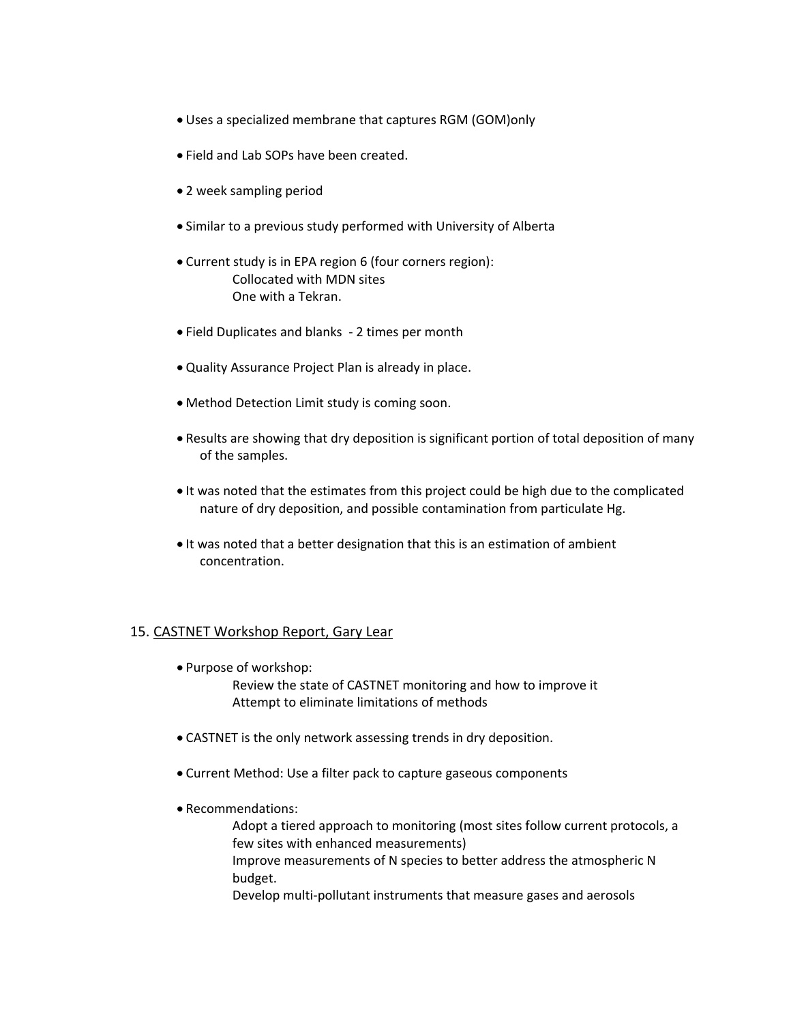- Uses a specialized membrane that captures RGM (GOM)only
- Field and Lab SOPs have been created.
- 2 week sampling period
- Similar to a previous study performed with University of Alberta
- Current study is in EPA region 6 (four corners region): Collocated with MDN sites One with a Tekran.
- Field Duplicates and blanks ‐ 2 times per month
- Quality Assurance Project Plan is already in place.
- Method Detection Limit study is coming soon.
- Results are showing that dry deposition is significant portion of total deposition of many of the samples.
- It was noted that the estimates from this project could be high due to the complicated nature of dry deposition, and possible contamination from particulate Hg.
- It was noted that a better designation that this is an estimation of ambient concentration.

### 15. CASTNET Workshop Report, Gary Lear

Purpose of workshop:

Review the state of CASTNET monitoring and how to improve it Attempt to eliminate limitations of methods

- CASTNET is the only network assessing trends in dry deposition.
- Current Method: Use a filter pack to capture gaseous components
- Recommendations:

Adopt a tiered approach to monitoring (most sites follow current protocols, a few sites with enhanced measurements)

Improve measurements of N species to better address the atmospheric N budget.

Develop multi‐pollutant instruments that measure gases and aerosols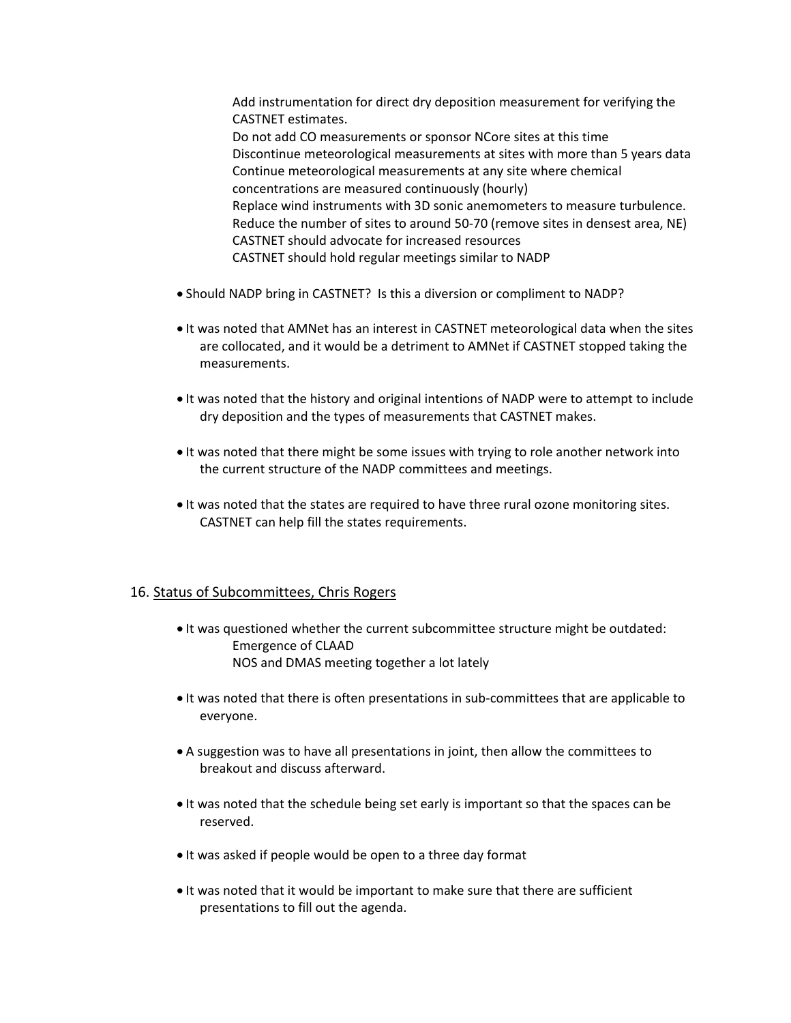Add instrumentation for direct dry deposition measurement for verifying the CASTNET estimates. Do not add CO measurements or sponsor NCore sites at this time Discontinue meteorological measurements at sites with more than 5 years data Continue meteorological measurements at any site where chemical concentrations are measured continuously (hourly) Replace wind instruments with 3D sonic anemometers to measure turbulence. Reduce the number of sites to around 50‐70 (remove sites in densest area, NE) CASTNET should advocate for increased resources CASTNET should hold regular meetings similar to NADP

- Should NADP bring in CASTNET? Is this a diversion or compliment to NADP?
- It was noted that AMNet has an interest in CASTNET meteorological data when the sites are collocated, and it would be a detriment to AMNet if CASTNET stopped taking the measurements.
- It was noted that the history and original intentions of NADP were to attempt to include dry deposition and the types of measurements that CASTNET makes.
- It was noted that there might be some issues with trying to role another network into the current structure of the NADP committees and meetings.
- It was noted that the states are required to have three rural ozone monitoring sites. CASTNET can help fill the states requirements.

### 16. Status of Subcommittees, Chris Rogers

- $\bullet$  It was questioned whether the current subcommittee structure might be outdated: Emergence of CLAAD NOS and DMAS meeting together a lot lately
- It was noted that there is often presentations in sub-committees that are applicable to everyone.
- A suggestion was to have all presentations in joint, then allow the committees to breakout and discuss afterward.
- It was noted that the schedule being set early is important so that the spaces can be reserved.
- It was asked if people would be open to a three day format
- It was noted that it would be important to make sure that there are sufficient presentations to fill out the agenda.